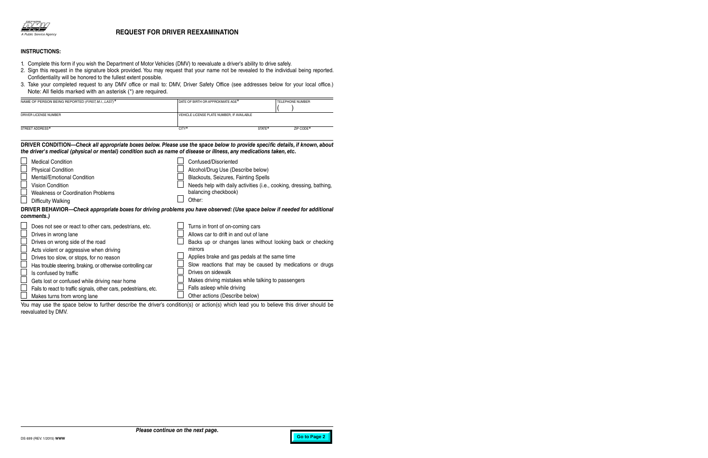

## **REQUEST FOR DRIVER REEXAMINATION**

## **INSTRUCTIONS:**

- 1. Complete this form if you wish the Department of Motor Vehicles (DMV) to reevaluate a driver's ability to drive safely.
- 2. Sign this request in the signature block provided. You may request that your name not be revealed to the individual being reported. Confidentiality will be honored to the fullest extent possible.
- 3. Take your completed request to any DMV office or mail to: DMV, Driver Safety Office (see addresses below for your local office.) Note: All fields marked with an asterisk (\*) are required.

| NAME OF PERSON BEING REPORTED (FIRST, M.I., LAST)* | DATE OF BIRTH OR APPROXIMATE AGE <sup>*</sup> |        | <b>TELEPHONE NUMBER</b> |
|----------------------------------------------------|-----------------------------------------------|--------|-------------------------|
| DRIVER LICENSE NUMBER                              | VEHICLE LICENSE PLATE NUMBER, IF AVAILABLE    |        |                         |
| STREET ADDRESS*                                    | CITY*                                         | STATE* | ZIP CODE*               |

## **DRIVER CONDITION—***Check all appropriate boxes below. Please use the space below to provide specific details, if known, about the driver's medical (physical or mental) condition such as name of disease or illness, any medications taken, etc.*

| <b>Physical Condition</b><br>Alcohol/Drug Use (Describe below)<br><b>Mental/Emotional Condition</b><br>Blackouts, Seizures, Fainting Spells<br><b>Vision Condition</b><br>Needs help with daily activities (i.e., cooking, dressing, bathing,<br>balancing checkbook)<br><b>Weakness or Coordination Problems</b><br>Other:<br>Difficulty Walking<br>DRIVER BEHAVIOR—Check appropriate boxes for driving problems you have observed: (Use space below if needed for additional<br>comments.)<br>Does not see or react to other cars, pedestrians, etc.<br>Turns in front of on-coming cars |
|--------------------------------------------------------------------------------------------------------------------------------------------------------------------------------------------------------------------------------------------------------------------------------------------------------------------------------------------------------------------------------------------------------------------------------------------------------------------------------------------------------------------------------------------------------------------------------------------|
|                                                                                                                                                                                                                                                                                                                                                                                                                                                                                                                                                                                            |
|                                                                                                                                                                                                                                                                                                                                                                                                                                                                                                                                                                                            |
|                                                                                                                                                                                                                                                                                                                                                                                                                                                                                                                                                                                            |
|                                                                                                                                                                                                                                                                                                                                                                                                                                                                                                                                                                                            |
|                                                                                                                                                                                                                                                                                                                                                                                                                                                                                                                                                                                            |
|                                                                                                                                                                                                                                                                                                                                                                                                                                                                                                                                                                                            |
|                                                                                                                                                                                                                                                                                                                                                                                                                                                                                                                                                                                            |
|                                                                                                                                                                                                                                                                                                                                                                                                                                                                                                                                                                                            |
| Allows car to drift in and out of lane<br>Drives in wrong lane                                                                                                                                                                                                                                                                                                                                                                                                                                                                                                                             |
| Drives on wrong side of the road<br>Backs up or changes lanes without looking back or checking                                                                                                                                                                                                                                                                                                                                                                                                                                                                                             |
| mirrors<br>Acts violent or aggressive when driving                                                                                                                                                                                                                                                                                                                                                                                                                                                                                                                                         |
| Applies brake and gas pedals at the same time<br>Drives too slow, or stops, for no reason                                                                                                                                                                                                                                                                                                                                                                                                                                                                                                  |
| Slow reactions that may be caused by medications or drugs<br>Has trouble steering, braking, or otherwise controlling car                                                                                                                                                                                                                                                                                                                                                                                                                                                                   |
| Drives on sidewalk<br>Is confused by traffic                                                                                                                                                                                                                                                                                                                                                                                                                                                                                                                                               |
| Makes driving mistakes while talking to passengers<br>Gets lost or confused while driving near home                                                                                                                                                                                                                                                                                                                                                                                                                                                                                        |
| Falls asleep while driving<br>Fails to react to traffic signals, other cars, pedestrians, etc.                                                                                                                                                                                                                                                                                                                                                                                                                                                                                             |
| Other actions (Describe below)<br>Makes turns from wrong lane                                                                                                                                                                                                                                                                                                                                                                                                                                                                                                                              |

You may use the space below to further describe the driver's condition(s) or action(s) which lead you to believe this driver should be reevaluated by DMV.